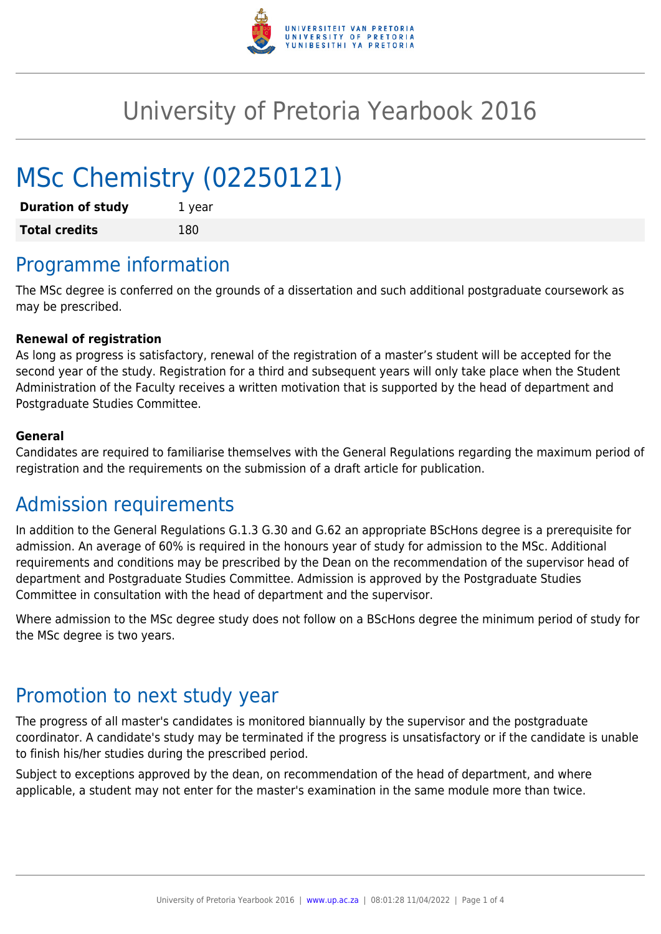

# University of Pretoria Yearbook 2016

# MSc Chemistry (02250121)

| <b>Duration of study</b> | 1 year |
|--------------------------|--------|
| <b>Total credits</b>     | 180    |

## Programme information

The MSc degree is conferred on the grounds of a dissertation and such additional postgraduate coursework as may be prescribed.

#### **Renewal of registration**

As long as progress is satisfactory, renewal of the registration of a master's student will be accepted for the second year of the study. Registration for a third and subsequent years will only take place when the Student Administration of the Faculty receives a written motivation that is supported by the head of department and Postgraduate Studies Committee.

#### **General**

Candidates are required to familiarise themselves with the General Regulations regarding the maximum period of registration and the requirements on the submission of a draft article for publication.

#### Admission requirements

In addition to the General Regulations G.1.3 G.30 and G.62 an appropriate BScHons degree is a prerequisite for admission. An average of 60% is required in the honours year of study for admission to the MSc. Additional requirements and conditions may be prescribed by the Dean on the recommendation of the supervisor head of department and Postgraduate Studies Committee. Admission is approved by the Postgraduate Studies Committee in consultation with the head of department and the supervisor.

Where admission to the MSc degree study does not follow on a BScHons degree the minimum period of study for the MSc degree is two years.

### Promotion to next study year

The progress of all master's candidates is monitored biannually by the supervisor and the postgraduate coordinator. A candidate's study may be terminated if the progress is unsatisfactory or if the candidate is unable to finish his/her studies during the prescribed period.

Subject to exceptions approved by the dean, on recommendation of the head of department, and where applicable, a student may not enter for the master's examination in the same module more than twice.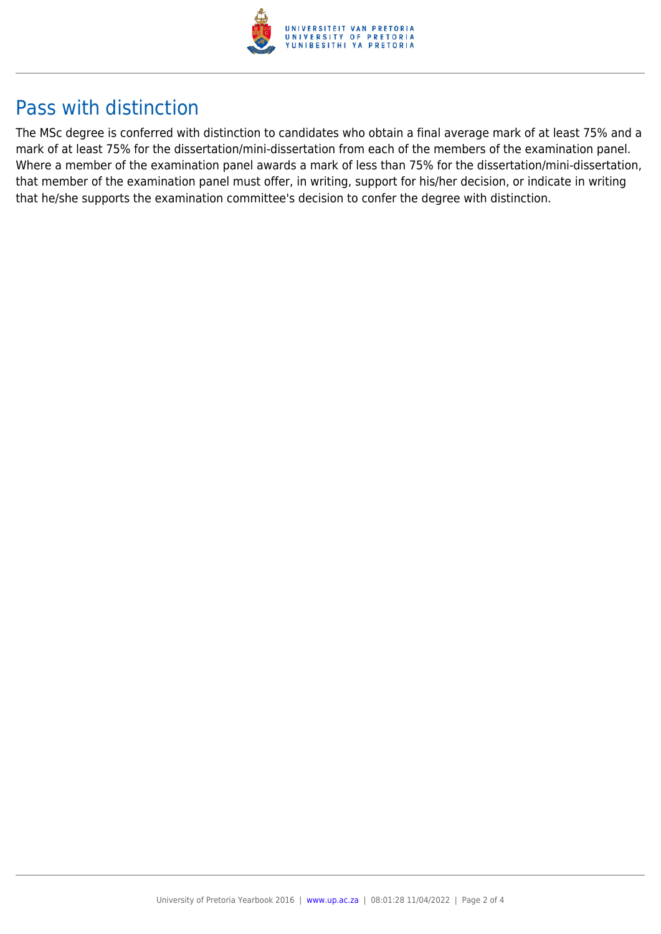

### Pass with distinction

The MSc degree is conferred with distinction to candidates who obtain a final average mark of at least 75% and a mark of at least 75% for the dissertation/mini-dissertation from each of the members of the examination panel. Where a member of the examination panel awards a mark of less than 75% for the dissertation/mini-dissertation, that member of the examination panel must offer, in writing, support for his/her decision, or indicate in writing that he/she supports the examination committee's decision to confer the degree with distinction.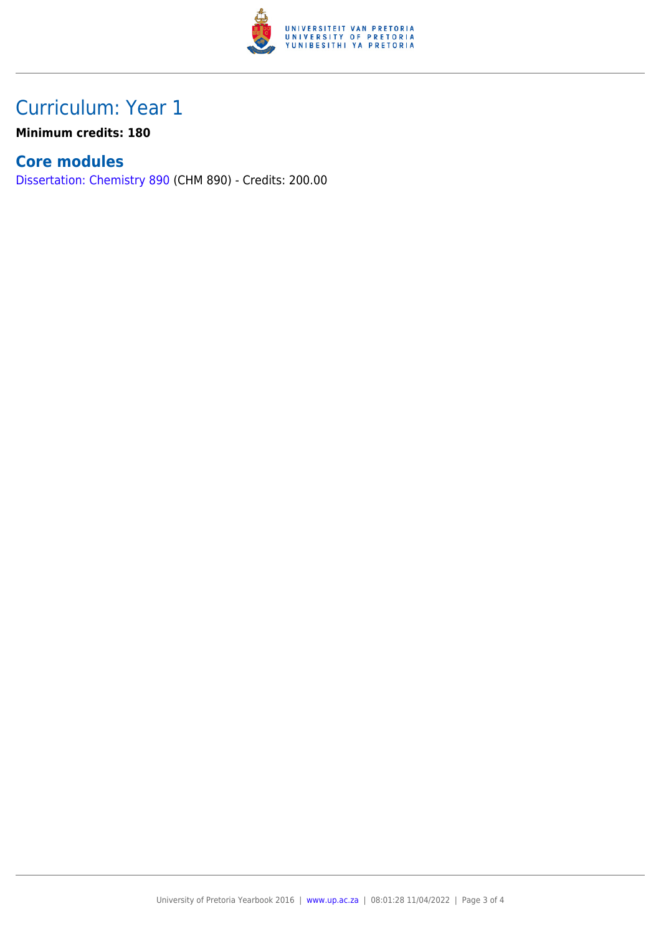

## Curriculum: Year 1

**Minimum credits: 180**

#### **Core modules**

[Dissertation: Chemistry 890](https://www.up.ac.za/yearbooks/2016/modules/view/CHM 890) (CHM 890) - Credits: 200.00